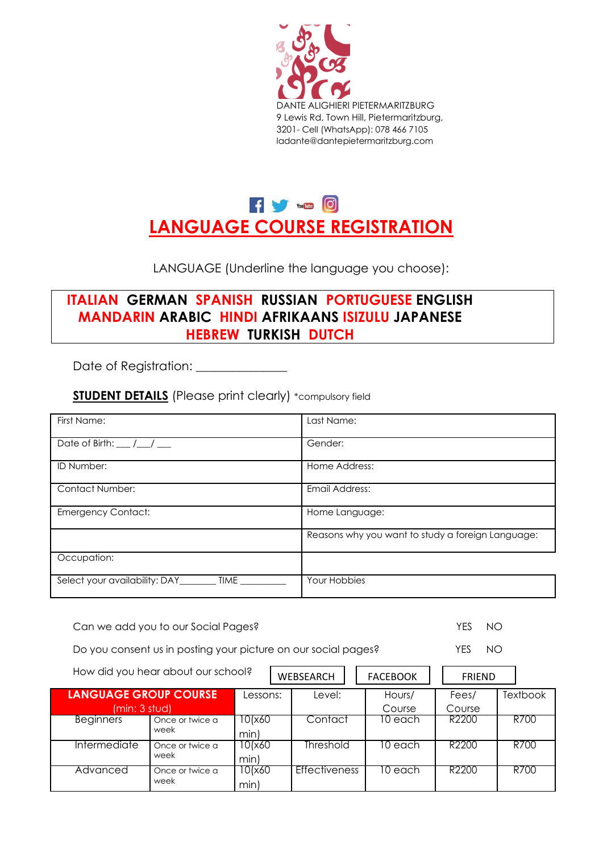



LANGUAGE (Underline the language you choose):

# **ITALIAN GERMAN SPANISH RUSSIAN PORTUGUESE ENGLISH MANDARIN ARABIC HINDI AFRIKAANS ISIZULU JAPANESE HEBREW TURKISH DUTCH**

Date of Registration:

**STUDENT DETAILS** (Please print clearly) \*compulsory field

| First Name:                           | Last Name:                                        |
|---------------------------------------|---------------------------------------------------|
| Date of Birth: $\frac{1}{2}$          | Gender:                                           |
| ID Number:                            | Home Address:                                     |
| <b>Contact Number:</b>                | <b>Email Address:</b>                             |
| <b>Emergency Contact:</b>             | Home Language:                                    |
|                                       | Reasons why you want to study a foreign Language: |
| Occupation:                           |                                                   |
| Select your availability: DAY<br>TIME | Your Hobbies                                      |

Can we add you to our Social Pages? The Second Second Pages of the Second Second Second Second Second Second S

Do you consent us in posting your picture on our social pages? YES NO

How did you hear about our school? WEBSEARCH FACEBOOK FRIEND **LANGUAGE GROUP COURSE** Lessons: Level: Hours/ Fees/ Textbook (min: 3 stud) and the course course course course course Beginners Once or twice a 10(x60 Contact 10 each R2200 R700 week min) Intermediate Once or twice a 10(x60 Threshold 10 each R2200 T R700 week min) Advanced Once or twice a 10(x60 Effectiveness 10 each R2200 R700 week min)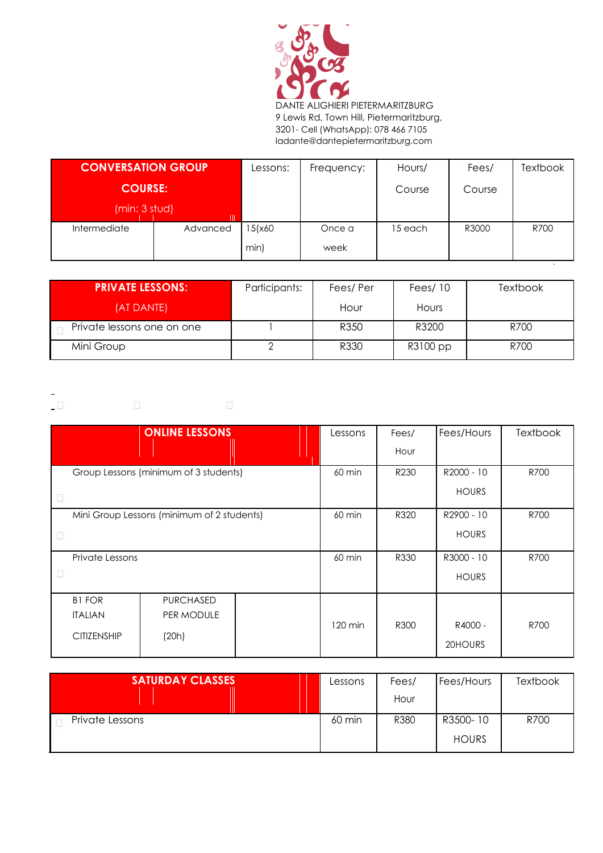

DANTE ALIGHIERI PIETERMARITZBURG 9 Lewis Rd, Town Hill, Pietermaritzburg, 3201- Cell (WhatsApp): 078 466 7105 ladante@dantepietermaritzburg.com

| <b>CONVERSATION GROUP</b> |          | Lessons: | Frequency: | Hours/  | Fees/  | <b>Textbook</b> |
|---------------------------|----------|----------|------------|---------|--------|-----------------|
| <b>COURSE:</b>            |          |          |            | Course  | Course |                 |
| (min: 3 stud)             |          |          |            |         |        |                 |
| Intermediate              | Advanced | 15(x60   | Once a     | 15 each | R3000  | R700            |
|                           |          | min)     | week       |         |        |                 |

| <b>PRIVATE LESSONS:</b>    | Participants: | Fees/Per | Fees $/10$ | Textbook |
|----------------------------|---------------|----------|------------|----------|
| (AT DANTE)                 |               | Hour     | Hours      |          |
| Private lessons one on one |               | R350     | R3200      | R700     |
| Mini Group                 |               | R330     | R3100 pp   | R700     |

 $\Box$  $\begin{bmatrix} 1 \\ 1 \end{bmatrix}$  $\Box$ 

|                                       | <b>ONLINE LESSONS</b>                      |                  | Lessons           | Fees/      | Fees/Hours   | <b>Textbook</b> |
|---------------------------------------|--------------------------------------------|------------------|-------------------|------------|--------------|-----------------|
|                                       |                                            |                  |                   | Hour       |              |                 |
| Group Lessons (minimum of 3 students) |                                            | $60 \text{ min}$ | R230              | R2000 - 10 | R700         |                 |
|                                       |                                            |                  |                   |            | <b>HOURS</b> |                 |
|                                       | Mini Group Lessons (minimum of 2 students) |                  | 60 min            | R320       | R2900 - 10   | R700            |
| H                                     |                                            |                  |                   |            | <b>HOURS</b> |                 |
| Private Lessons                       |                                            |                  | 60 min            | R330       | R3000 - 10   | R700            |
|                                       |                                            |                  |                   |            | <b>HOURS</b> |                 |
| <b>B1 FOR</b>                         | <b>PURCHASED</b>                           |                  |                   |            |              |                 |
| <b>ITALIAN</b>                        | PER MODULE                                 |                  | $120 \text{ min}$ | R300       | R4000 -      | R700            |
| <b>CITIZENSHIP</b>                    | (20h)                                      |                  |                   |            | 20HOURS      |                 |

| <b>SATURDAY CLASSES</b> | Lessons | Fees/ | Fees/Hours   | Textbook |
|-------------------------|---------|-------|--------------|----------|
|                         |         | Hour  |              |          |
| Private Lessons         | 60 min  | R380  | R3500-10     | R700     |
|                         |         |       | <b>HOURS</b> |          |